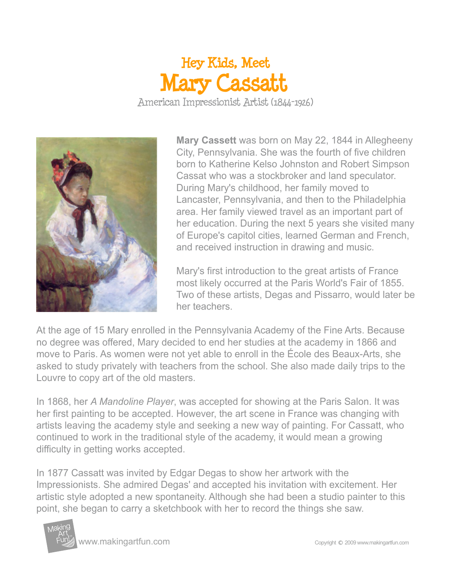## **Mary Cassatt** American Impressionist Artist (1844-1926) **Hey Kids, Meet**

**Mary Cassett** was born on May 22, 1844 in Allegheeny City, Pennsylvania. She was the fourth of five children born to Katherine Kelso Johnston and Robert Simpson Cassat who was a stockbroker and land speculator. During Mary's childhood, her family moved to Lancaster, Pennsylvania, and then to the Philadelphia area. Her family viewed travel as an important part of her education. During the next 5 years she visited many of Europe's capitol cities, learned German and French, and received instruction in drawing and music.

Mary's first introduction to the great artists of France most likely occurred at the Paris World's Fair of 1855. Two of these artists, Degas and Pissarro, would later be her teachers.

At the age of 15 Mary enrolled in the Pennsylvania Academy of the Fine Arts. Because no degree was offered, Mary decided to end her studies at the academy in 1866 and move to Paris. As women were not yet able to enroll in the École des Beaux-Arts, she asked to study privately with teachers from the school. She also made daily trips to the Louvre to copy art of the old masters.

In 1868, her *A Mandoline Player*, was accepted for showing at the Paris Salon. It was her first painting to be accepted. However, the art scene in France was changing with artists leaving the academy style and seeking a new way of painting. For Cassatt, who continued to work in the traditional style of the academy, it would mean a growing difficulty in getting works accepted.

In 1877 Cassatt was invited by Edgar Degas to show her artwork with the Impressionists. She admired Degas' and accepted his invitation with excitement. Her artistic style adopted a new spontaneity. Although she had been a studio painter to this point, she began to carry a sketchbook with her to record the things she saw.